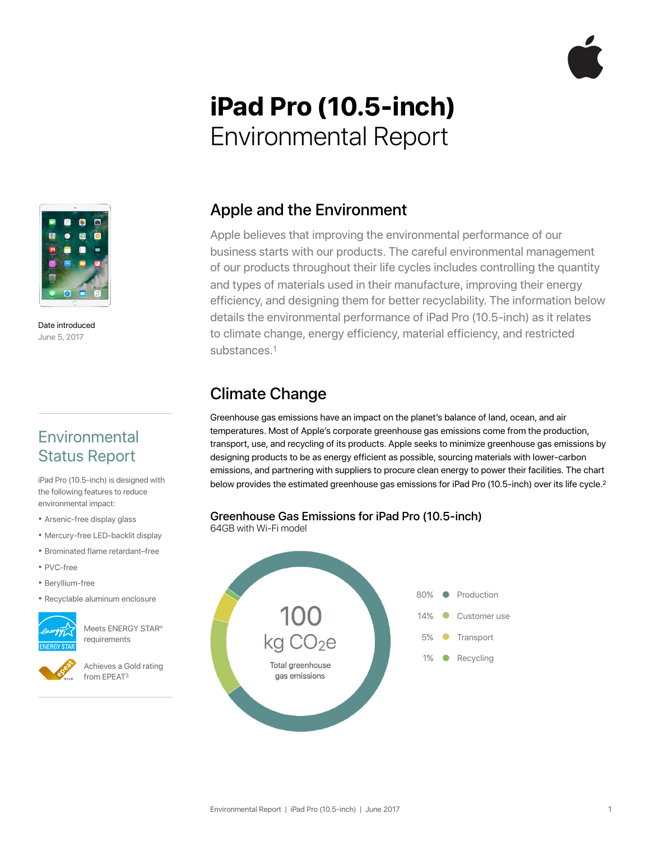# **iPad Pro (10.5-inch)**  Environmental Report



Date introduced June 5, 2017

# **Environmental** Status Report

iPad Pro (10.5-inch) is designed with the following features to reduce environmental impact:

- Arsenic-free display glass
- Mercury-free LED-backlit display
- Brominated flame retardant–free
- PVC-free
- Beryllium-free
- Recyclable aluminum enclosure



Meets ENERGY STAR® requirements

Achieves a Gold rating from EPEAT3

### Apple and the Environment

Apple believes that improving the environmental performance of our business starts with our products. The careful environmental management of our products throughout their life cycles includes controlling the quantity and types of materials used in their manufacture, improving their energy efficiency, and designing them for better recyclability. The information below details the environmental performance of iPad Pro (10.5-inch) as it relates to climate change, energy efficiency, material efficiency, and restricted substances.1

# Climate Change

Greenhouse gas emissions have an impact on the planet's balance of land, ocean, and air temperatures. Most of Apple's corporate greenhouse gas emissions come from the production, transport, use, and recycling of its products. Apple seeks to minimize greenhouse gas emissions by designing products to be as energy efficient as possible, sourcing materials with lower-carbon emissions, and partnering with suppliers to procure clean energy to power their facilities. The chart below provides the estimated greenhouse gas emissions for iPad Pro (10.5-inch) over its life cycle.<sup>2</sup>

#### Greenhouse Gas Emissions for iPad Pro (10.5-inch)

64GB with Wi-Fi model

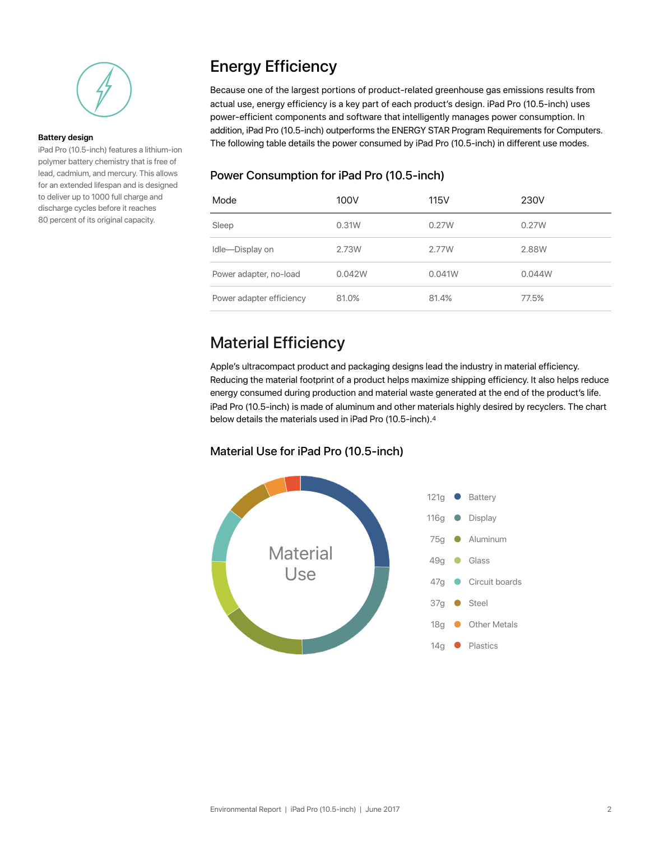

#### **Battery design**

iPad Pro (10.5-inch) features a lithium-ion polymer battery chemistry that is free of lead, cadmium, and mercury. This allows for an extended lifespan and is designed to deliver up to 1000 full charge and discharge cycles before it reaches 80 percent of its original capacity.

# Energy Efficiency

Because one of the largest portions of product-related greenhouse gas emissions results from actual use, energy efficiency is a key part of each product's design. iPad Pro (10.5-inch) uses power-efficient components and software that intelligently manages power consumption. In addition, iPad Pro (10.5-inch) outperforms the ENERGY STAR Program Requirements for Computers. The following table details the power consumed by iPad Pro (10.5-inch) in different use modes.

#### Power Consumption for iPad Pro (10.5-inch)

| Mode                     | 100V   | <b>115V</b> | 230V   |
|--------------------------|--------|-------------|--------|
| Sleep                    | 0.31W  | 0.27W       | 0.27W  |
| Idle-Display on          | 2.73W  | 2.77W       | 2.88W  |
| Power adapter, no-load   | 0.042W | 0.041W      | 0.044W |
| Power adapter efficiency | 81.0%  | 81.4%       | 77.5%  |

# Material Efficiency

Apple's ultracompact product and packaging designs lead the industry in material efficiency. Reducing the material footprint of a product helps maximize shipping efficiency. It also helps reduce energy consumed during production and material waste generated at the end of the product's life. iPad Pro (10.5-inch) is made of aluminum and other materials highly desired by recyclers. The chart below details the materials used in iPad Pro (10.5-inch).4

#### Material Use for iPad Pro (10.5-inch)

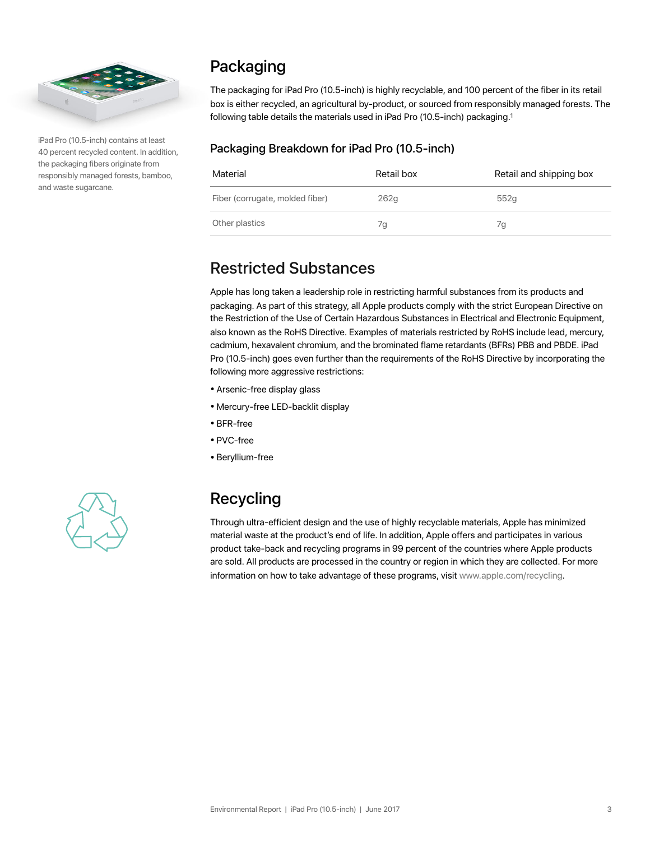

iPad Pro (10.5-inch) contains at least 40 percent recycled content. In addition, the packaging fibers originate from responsibly managed forests, bamboo, and waste sugarcane.

# Packaging

The packaging for iPad Pro (10.5-inch) is highly recyclable, and 100 percent of the fiber in its retail box is either recycled, an agricultural by-product, or sourced from responsibly managed forests. The following table details the materials used in iPad Pro (10.5-inch) packaging.<sup>1</sup>

#### Packaging Breakdown for iPad Pro (10.5-inch)

| Material                        | Retail box | Retail and shipping box |
|---------------------------------|------------|-------------------------|
| Fiber (corrugate, molded fiber) | 262q       | 552q                    |
| Other plastics                  | 7q         | 7а                      |

#### Restricted Substances

Apple has long taken a leadership role in restricting harmful substances from its products and packaging. As part of this strategy, all Apple products comply with the strict European Directive on the Restriction of the Use of Certain Hazardous Substances in Electrical and Electronic Equipment, also known as the RoHS Directive. Examples of materials restricted by RoHS include lead, mercury, cadmium, hexavalent chromium, and the brominated flame retardants (BFRs) PBB and PBDE. iPad Pro (10.5-inch) goes even further than the requirements of the RoHS Directive by incorporating the following more aggressive restrictions:

- Arsenic-free display glass
- Mercury-free LED-backlit display
- BFR-free
- PVC-free
- Beryllium-free



# Recycling

Through ultra-efficient design and the use of highly recyclable materials, Apple has minimized material waste at the product's end of life. In addition, Apple offers and participates in various product take-back and recycling programs in 99 percent of the countries where Apple products are sold. All products are processed in the country or region in which they are collected. For more information on how to take advantage of these programs, visit [www.apple.com/recycling.](http://www.apple.com/recycling)